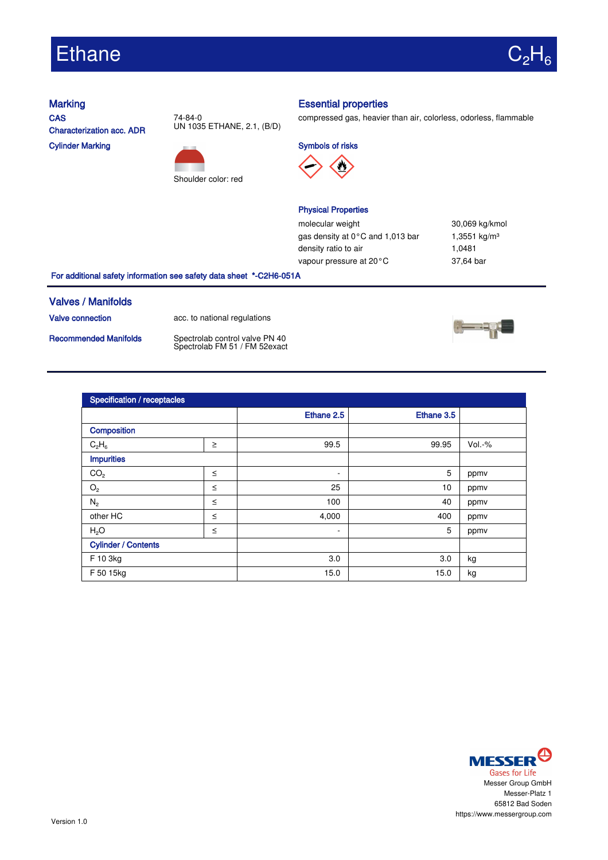# Ethane



**CAS** Characterization acc. ADR Cylinder Marking





### Marking **Essential properties**

compressed gas, heavier than air, colorless, odorless, flammable

Symbols of risks



#### Physical Properties

molecular weight 30,069 kg/kmol gas density at  $0^{\circ}$ C and 1,013 bar 1,3551 kg/m<sup>3</sup> density ratio to air 1,0481 vapour pressure at 20°C 37,64 bar

For additional safety information see safety data sheet \*-C2H6-051A

#### Valves / Manifolds

Valve connection acc. to national regulations

Recommended Manifolds Spectrolab control valve PN 40<br>Spectrolab FM 51 / FM 52exact



| Specification / receptacles |        |            |            |        |  |
|-----------------------------|--------|------------|------------|--------|--|
|                             |        | Ethane 2.5 | Ethane 3.5 |        |  |
| Composition                 |        |            |            |        |  |
| $C_2H_6$                    | $\geq$ | 99.5       | 99.95      | Vol.-% |  |
| <b>Impurities</b>           |        |            |            |        |  |
| CO <sub>2</sub>             | $\leq$ | ٠          | 5          | ppmv   |  |
| $\mathrm{O}_2$              | $\leq$ | 25         | 10         | ppmv   |  |
| $N_2$                       | $\leq$ | 100        | 40         | ppmv   |  |
| other HC                    | $\leq$ | 4,000      | 400        | ppmv   |  |
| H <sub>2</sub> O            | $\leq$ | ٠          | 5          | ppmv   |  |
| <b>Cylinder / Contents</b>  |        |            |            |        |  |
| F 10 3kg                    |        | 3.0        | 3.0        | kg     |  |
| F 50 15kg                   |        | 15.0       | 15.0       | kg     |  |